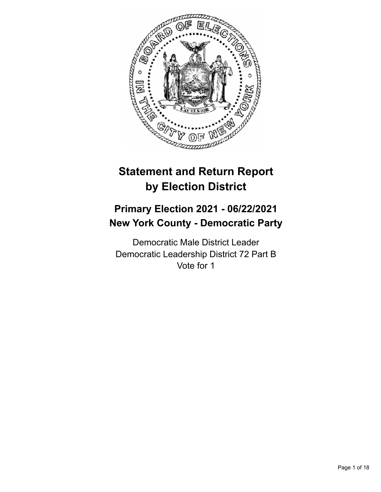

# **Statement and Return Report by Election District**

# **Primary Election 2021 - 06/22/2021 New York County - Democratic Party**

Democratic Male District Leader Democratic Leadership District 72 Part B Vote for 1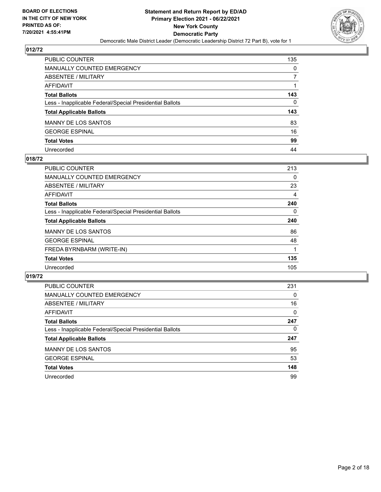

| PUBLIC COUNTER                                           | 135          |
|----------------------------------------------------------|--------------|
| <b>MANUALLY COUNTED EMERGENCY</b>                        | $\mathbf{0}$ |
| ABSENTEE / MILITARY                                      | 7            |
| <b>AFFIDAVIT</b>                                         |              |
| <b>Total Ballots</b>                                     | 143          |
| Less - Inapplicable Federal/Special Presidential Ballots | $\mathbf{0}$ |
| <b>Total Applicable Ballots</b>                          | 143          |
| MANNY DE LOS SANTOS                                      | 83           |
| <b>GEORGE ESPINAL</b>                                    | 16           |
| <b>Total Votes</b>                                       | 99           |
| Unrecorded                                               | 44           |

#### **018/72**

| <b>PUBLIC COUNTER</b>                                    | 213      |
|----------------------------------------------------------|----------|
| MANUALLY COUNTED EMERGENCY                               | 0        |
| ABSENTEE / MILITARY                                      | 23       |
| <b>AFFIDAVIT</b>                                         | 4        |
| <b>Total Ballots</b>                                     | 240      |
| Less - Inapplicable Federal/Special Presidential Ballots | $\Omega$ |
| <b>Total Applicable Ballots</b>                          | 240      |
| <b>MANNY DE LOS SANTOS</b>                               | 86       |
| <b>GEORGE ESPINAL</b>                                    | 48       |
| FREDA BYRNBARM (WRITE-IN)                                |          |
| <b>Total Votes</b>                                       | 135      |
| Unrecorded                                               | 105      |

| <b>PUBLIC COUNTER</b>                                    | 231      |
|----------------------------------------------------------|----------|
| MANUALLY COUNTED EMERGENCY                               | $\Omega$ |
| ABSENTEE / MILITARY                                      | 16       |
| AFFIDAVIT                                                | $\Omega$ |
| <b>Total Ballots</b>                                     | 247      |
| Less - Inapplicable Federal/Special Presidential Ballots | 0        |
| <b>Total Applicable Ballots</b>                          | 247      |
| <b>MANNY DE LOS SANTOS</b>                               | 95       |
| <b>GEORGE ESPINAL</b>                                    | 53       |
| <b>Total Votes</b>                                       | 148      |
| Unrecorded                                               | 99       |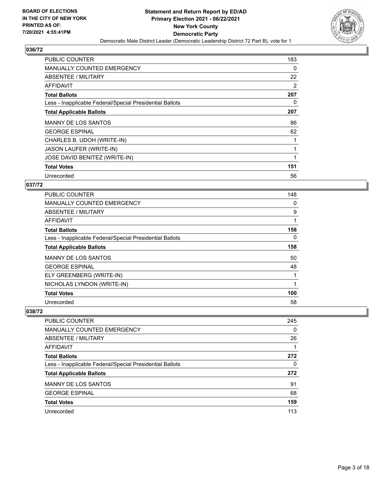

| <b>PUBLIC COUNTER</b>                                    | 183 |
|----------------------------------------------------------|-----|
| <b>MANUALLY COUNTED EMERGENCY</b>                        | 0   |
| ABSENTEE / MILITARY                                      | 22  |
| AFFIDAVIT                                                | 2   |
| <b>Total Ballots</b>                                     | 207 |
| Less - Inapplicable Federal/Special Presidential Ballots | 0   |
| <b>Total Applicable Ballots</b>                          | 207 |
| MANNY DE LOS SANTOS                                      | 86  |
| <b>GEORGE ESPINAL</b>                                    | 62  |
| CHARLES B. UDOH (WRITE-IN)                               |     |
| JASON LAUFER (WRITE-IN)                                  |     |
| JOSE DAVID BENITEZ (WRITE-IN)                            |     |
| <b>Total Votes</b>                                       | 151 |
| Unrecorded                                               | 56  |

# **037/72**

| PUBLIC COUNTER                                           | 148          |
|----------------------------------------------------------|--------------|
| <b>MANUALLY COUNTED EMERGENCY</b>                        | 0            |
| ABSENTEE / MILITARY                                      | 9            |
| <b>AFFIDAVIT</b>                                         | 1            |
| <b>Total Ballots</b>                                     | 158          |
| Less - Inapplicable Federal/Special Presidential Ballots | 0            |
| <b>Total Applicable Ballots</b>                          | 158          |
| <b>MANNY DE LOS SANTOS</b>                               | 50           |
| <b>GEORGE ESPINAL</b>                                    | 48           |
| ELY GREENBERG (WRITE-IN)                                 | $\mathbf{1}$ |
| NICHOLAS LYNDON (WRITE-IN)                               | 1            |
| <b>Total Votes</b>                                       | 100          |
| Unrecorded                                               | 58           |

| PUBLIC COUNTER                                           | 245      |
|----------------------------------------------------------|----------|
| <b>MANUALLY COUNTED EMERGENCY</b>                        | $\Omega$ |
| ABSENTEE / MILITARY                                      | 26       |
| AFFIDAVIT                                                |          |
| <b>Total Ballots</b>                                     | 272      |
| Less - Inapplicable Federal/Special Presidential Ballots | 0        |
| <b>Total Applicable Ballots</b>                          | 272      |
| <b>MANNY DE LOS SANTOS</b>                               | 91       |
| <b>GEORGE ESPINAL</b>                                    | 68       |
| <b>Total Votes</b>                                       | 159      |
| Unrecorded                                               | 113      |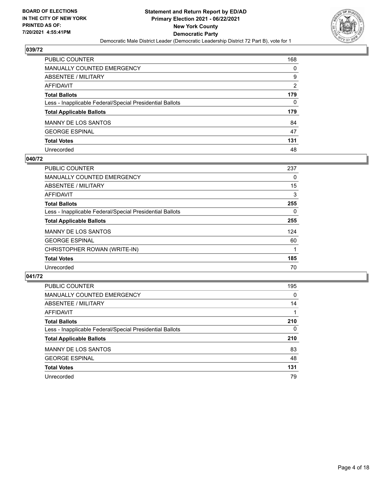

| PUBLIC COUNTER                                           | 168 |
|----------------------------------------------------------|-----|
| <b>MANUALLY COUNTED EMERGENCY</b>                        | 0   |
| <b>ABSENTEE / MILITARY</b>                               | 9   |
| <b>AFFIDAVIT</b>                                         | 2   |
| <b>Total Ballots</b>                                     | 179 |
| Less - Inapplicable Federal/Special Presidential Ballots | 0   |
| <b>Total Applicable Ballots</b>                          | 179 |
| <b>MANNY DE LOS SANTOS</b>                               | 84  |
| <b>GEORGE ESPINAL</b>                                    | 47  |
| <b>Total Votes</b>                                       | 131 |
| Unrecorded                                               | 48  |

#### **040/72**

| <b>PUBLIC COUNTER</b>                                    | 237 |
|----------------------------------------------------------|-----|
| <b>MANUALLY COUNTED EMERGENCY</b>                        | 0   |
| ABSENTEE / MILITARY                                      | 15  |
| AFFIDAVIT                                                | 3   |
| <b>Total Ballots</b>                                     | 255 |
| Less - Inapplicable Federal/Special Presidential Ballots | 0   |
| <b>Total Applicable Ballots</b>                          | 255 |
| <b>MANNY DE LOS SANTOS</b>                               | 124 |
| <b>GEORGE ESPINAL</b>                                    | 60  |
| CHRISTOPHER ROWAN (WRITE-IN)                             |     |
| <b>Total Votes</b>                                       | 185 |
| Unrecorded                                               | 70  |

| <b>PUBLIC COUNTER</b>                                    | 195      |
|----------------------------------------------------------|----------|
| MANUALLY COUNTED EMERGENCY                               | $\Omega$ |
| ABSENTEE / MILITARY                                      | 14       |
| AFFIDAVIT                                                |          |
| <b>Total Ballots</b>                                     | 210      |
| Less - Inapplicable Federal/Special Presidential Ballots | $\Omega$ |
| <b>Total Applicable Ballots</b>                          | 210      |
| <b>MANNY DE LOS SANTOS</b>                               | 83       |
| <b>GEORGE ESPINAL</b>                                    | 48       |
| <b>Total Votes</b>                                       | 131      |
| Unrecorded                                               | 79       |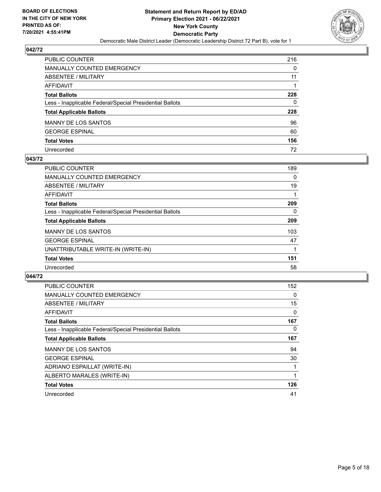

| PUBLIC COUNTER                                           | 216 |
|----------------------------------------------------------|-----|
| <b>MANUALLY COUNTED EMERGENCY</b>                        | 0   |
| ABSENTEE / MILITARY                                      | 11  |
| <b>AFFIDAVIT</b>                                         |     |
| <b>Total Ballots</b>                                     | 228 |
| Less - Inapplicable Federal/Special Presidential Ballots | 0   |
| <b>Total Applicable Ballots</b>                          | 228 |
| <b>MANNY DE LOS SANTOS</b>                               | 96  |
| <b>GEORGE ESPINAL</b>                                    | 60  |
| <b>Total Votes</b>                                       | 156 |
| Unrecorded                                               | 72  |

#### **043/72**

| <b>PUBLIC COUNTER</b>                                    | 189      |
|----------------------------------------------------------|----------|
| MANUALLY COUNTED EMERGENCY                               | $\Omega$ |
| ABSENTEE / MILITARY                                      | 19       |
| AFFIDAVIT                                                |          |
| <b>Total Ballots</b>                                     | 209      |
| Less - Inapplicable Federal/Special Presidential Ballots | 0        |
| <b>Total Applicable Ballots</b>                          | 209      |
| <b>MANNY DE LOS SANTOS</b>                               | 103      |
| <b>GEORGE ESPINAL</b>                                    | 47       |
| UNATTRIBUTABLE WRITE-IN (WRITE-IN)                       |          |
| <b>Total Votes</b>                                       | 151      |
| Unrecorded                                               | 58       |

| <b>PUBLIC COUNTER</b>                                    | 152 |
|----------------------------------------------------------|-----|
| <b>MANUALLY COUNTED EMERGENCY</b>                        | 0   |
| ABSENTEE / MILITARY                                      | 15  |
| <b>AFFIDAVIT</b>                                         | 0   |
| <b>Total Ballots</b>                                     | 167 |
| Less - Inapplicable Federal/Special Presidential Ballots | 0   |
| <b>Total Applicable Ballots</b>                          | 167 |
| <b>MANNY DE LOS SANTOS</b>                               | 94  |
| <b>GEORGE ESPINAL</b>                                    | 30  |
| ADRIANO ESPAILLAT (WRITE-IN)                             |     |
| ALBERTO MARALES (WRITE-IN)                               |     |
| <b>Total Votes</b>                                       | 126 |
| Unrecorded                                               | 41  |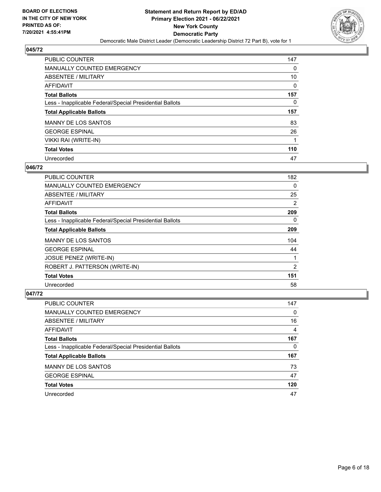

| <b>PUBLIC COUNTER</b>                                    | 147 |
|----------------------------------------------------------|-----|
| <b>MANUALLY COUNTED EMERGENCY</b>                        | 0   |
| ABSENTEE / MILITARY                                      | 10  |
| AFFIDAVIT                                                | 0   |
| <b>Total Ballots</b>                                     | 157 |
| Less - Inapplicable Federal/Special Presidential Ballots | 0   |
|                                                          |     |
| <b>Total Applicable Ballots</b>                          | 157 |
| <b>MANNY DE LOS SANTOS</b>                               | 83  |
| <b>GEORGE ESPINAL</b>                                    | 26  |
| VIKKI RAI (WRITE-IN)                                     | 1   |
| <b>Total Votes</b>                                       | 110 |

## **046/72**

| PUBLIC COUNTER                                           | 182      |
|----------------------------------------------------------|----------|
| <b>MANUALLY COUNTED EMERGENCY</b>                        | $\Omega$ |
| ABSENTEE / MILITARY                                      | 25       |
| <b>AFFIDAVIT</b>                                         | 2        |
| <b>Total Ballots</b>                                     | 209      |
| Less - Inapplicable Federal/Special Presidential Ballots | $\Omega$ |
| <b>Total Applicable Ballots</b>                          | 209      |
| <b>MANNY DE LOS SANTOS</b>                               | 104      |
| <b>GEORGE ESPINAL</b>                                    | 44       |
| <b>JOSUE PENEZ (WRITE-IN)</b>                            |          |
| ROBERT J. PATTERSON (WRITE-IN)                           | 2        |
| <b>Total Votes</b>                                       | 151      |
| Unrecorded                                               | 58       |

| <b>PUBLIC COUNTER</b>                                    | 147      |
|----------------------------------------------------------|----------|
| <b>MANUALLY COUNTED EMERGENCY</b>                        | $\Omega$ |
| ABSENTEE / MILITARY                                      | 16       |
| <b>AFFIDAVIT</b>                                         | 4        |
| <b>Total Ballots</b>                                     | 167      |
| Less - Inapplicable Federal/Special Presidential Ballots | 0        |
| <b>Total Applicable Ballots</b>                          | 167      |
| <b>MANNY DE LOS SANTOS</b>                               | 73       |
| <b>GEORGE ESPINAL</b>                                    | 47       |
| <b>Total Votes</b>                                       | 120      |
| Unrecorded                                               | 47       |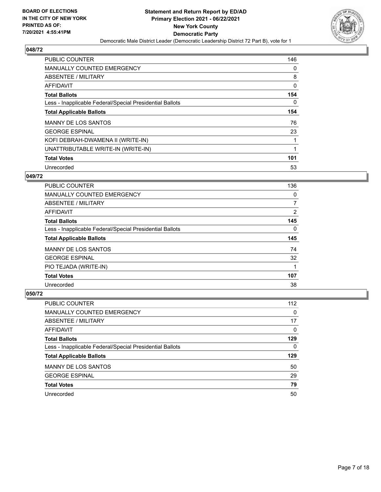

| PUBLIC COUNTER                                           | 146 |
|----------------------------------------------------------|-----|
| <b>MANUALLY COUNTED EMERGENCY</b>                        | 0   |
| ABSENTEE / MILITARY                                      | 8   |
| <b>AFFIDAVIT</b>                                         | 0   |
| <b>Total Ballots</b>                                     | 154 |
| Less - Inapplicable Federal/Special Presidential Ballots | 0   |
| <b>Total Applicable Ballots</b>                          | 154 |
| <b>MANNY DE LOS SANTOS</b>                               | 76  |
| <b>GEORGE ESPINAL</b>                                    | 23  |
| KOFI DEBRAH-DWAMENA II (WRITE-IN)                        | 1   |
| UNATTRIBUTABLE WRITE-IN (WRITE-IN)                       | 1   |
| <b>Total Votes</b>                                       | 101 |
| Unrecorded                                               | 53  |

## **049/72**

| PUBLIC COUNTER                                           | 136 |
|----------------------------------------------------------|-----|
| <b>MANUALLY COUNTED EMERGENCY</b>                        | 0   |
| ABSENTEE / MILITARY                                      | 7   |
| AFFIDAVIT                                                | 2   |
| <b>Total Ballots</b>                                     | 145 |
| Less - Inapplicable Federal/Special Presidential Ballots | 0   |
| <b>Total Applicable Ballots</b>                          | 145 |
| <b>MANNY DE LOS SANTOS</b>                               | 74  |
| <b>GEORGE ESPINAL</b>                                    | 32  |
|                                                          |     |
| PIO TEJADA (WRITE-IN)                                    |     |
| <b>Total Votes</b>                                       | 107 |

| PUBLIC COUNTER                                           | 112      |
|----------------------------------------------------------|----------|
| <b>MANUALLY COUNTED EMERGENCY</b>                        | 0        |
| ABSENTEE / MILITARY                                      | 17       |
| AFFIDAVIT                                                | $\Omega$ |
| <b>Total Ballots</b>                                     | 129      |
| Less - Inapplicable Federal/Special Presidential Ballots | 0        |
| <b>Total Applicable Ballots</b>                          | 129      |
| <b>MANNY DE LOS SANTOS</b>                               | 50       |
| <b>GEORGE ESPINAL</b>                                    | 29       |
| <b>Total Votes</b>                                       | 79       |
| Unrecorded                                               | 50       |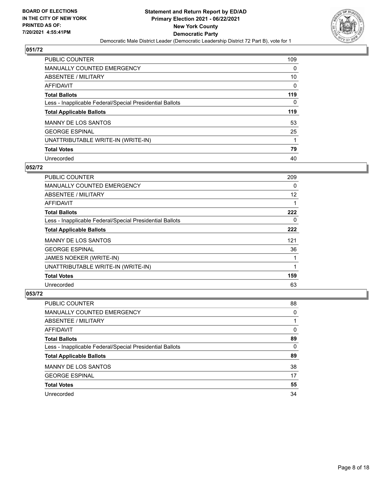

| <b>PUBLIC COUNTER</b>                                    | 109      |
|----------------------------------------------------------|----------|
| MANUALLY COUNTED EMERGENCY                               | 0        |
| ABSENTEE / MILITARY                                      | 10       |
| AFFIDAVIT                                                | $\Omega$ |
| <b>Total Ballots</b>                                     | 119      |
| Less - Inapplicable Federal/Special Presidential Ballots | 0        |
| <b>Total Applicable Ballots</b>                          | 119      |
| <b>MANNY DE LOS SANTOS</b>                               | 53       |
| <b>GEORGE ESPINAL</b>                                    | 25       |
| UNATTRIBUTABLE WRITE-IN (WRITE-IN)                       |          |
| <b>Total Votes</b>                                       | 79       |
| Unrecorded                                               | 40       |

## **052/72**

| <b>PUBLIC COUNTER</b>                                    | 209 |
|----------------------------------------------------------|-----|
| <b>MANUALLY COUNTED EMERGENCY</b>                        | 0   |
| ABSENTEE / MILITARY                                      | 12  |
| <b>AFFIDAVIT</b>                                         |     |
| <b>Total Ballots</b>                                     | 222 |
| Less - Inapplicable Federal/Special Presidential Ballots | 0   |
| <b>Total Applicable Ballots</b>                          | 222 |
| <b>MANNY DE LOS SANTOS</b>                               | 121 |
| <b>GEORGE ESPINAL</b>                                    | 36  |
| JAMES NOEKER (WRITE-IN)                                  |     |
| UNATTRIBUTABLE WRITE-IN (WRITE-IN)                       | 1   |
| <b>Total Votes</b>                                       | 159 |
| Unrecorded                                               | 63  |

| PUBLIC COUNTER                                           | 88       |
|----------------------------------------------------------|----------|
| MANUALLY COUNTED EMERGENCY                               | $\Omega$ |
| ABSENTEE / MILITARY                                      |          |
| AFFIDAVIT                                                | $\Omega$ |
| <b>Total Ballots</b>                                     | 89       |
| Less - Inapplicable Federal/Special Presidential Ballots | 0        |
| <b>Total Applicable Ballots</b>                          | 89       |
| <b>MANNY DE LOS SANTOS</b>                               | 38       |
| <b>GEORGE ESPINAL</b>                                    | 17       |
| <b>Total Votes</b>                                       | 55       |
| Unrecorded                                               | 34       |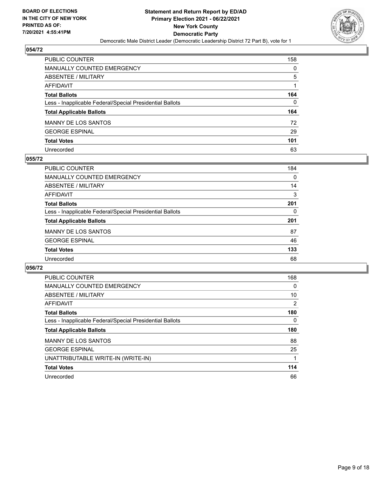

| PUBLIC COUNTER                                           | 158 |
|----------------------------------------------------------|-----|
| <b>MANUALLY COUNTED EMERGENCY</b>                        | 0   |
| ABSENTEE / MILITARY                                      | 5   |
| AFFIDAVIT                                                |     |
| <b>Total Ballots</b>                                     | 164 |
| Less - Inapplicable Federal/Special Presidential Ballots | 0   |
| <b>Total Applicable Ballots</b>                          | 164 |
| MANNY DE LOS SANTOS                                      | 72  |
| <b>GEORGE ESPINAL</b>                                    | 29  |
| <b>Total Votes</b>                                       | 101 |
| Unrecorded                                               | 63  |

## **055/72**

| PUBLIC COUNTER                                           | 184 |
|----------------------------------------------------------|-----|
| <b>MANUALLY COUNTED EMERGENCY</b>                        | 0   |
| ABSENTEE / MILITARY                                      | 14  |
| AFFIDAVIT                                                | 3   |
| <b>Total Ballots</b>                                     | 201 |
| Less - Inapplicable Federal/Special Presidential Ballots | 0   |
| <b>Total Applicable Ballots</b>                          | 201 |
| <b>MANNY DE LOS SANTOS</b>                               | 87  |
| <b>GEORGE ESPINAL</b>                                    | 46  |
| <b>Total Votes</b>                                       | 133 |
| Unrecorded                                               | 68  |

| <b>PUBLIC COUNTER</b>                                    | 168 |
|----------------------------------------------------------|-----|
| <b>MANUALLY COUNTED EMERGENCY</b>                        | 0   |
| ABSENTEE / MILITARY                                      | 10  |
| AFFIDAVIT                                                | 2   |
| <b>Total Ballots</b>                                     | 180 |
| Less - Inapplicable Federal/Special Presidential Ballots | 0   |
| <b>Total Applicable Ballots</b>                          | 180 |
| <b>MANNY DE LOS SANTOS</b>                               | 88  |
| <b>GEORGE ESPINAL</b>                                    | 25  |
| UNATTRIBUTABLE WRITE-IN (WRITE-IN)                       |     |
| <b>Total Votes</b>                                       | 114 |
| Unrecorded                                               | 66  |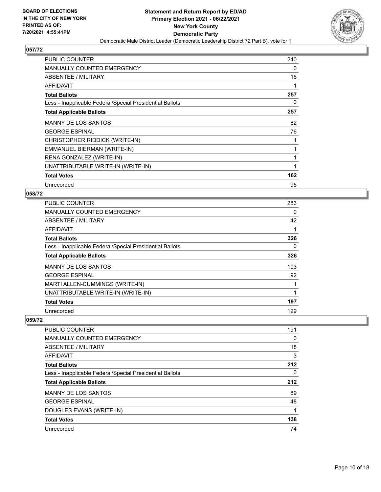

| <b>PUBLIC COUNTER</b>                                    | 240 |
|----------------------------------------------------------|-----|
| <b>MANUALLY COUNTED EMERGENCY</b>                        | 0   |
| ABSENTEE / MILITARY                                      | 16  |
| AFFIDAVIT                                                | 1   |
| <b>Total Ballots</b>                                     | 257 |
| Less - Inapplicable Federal/Special Presidential Ballots | 0   |
| <b>Total Applicable Ballots</b>                          | 257 |
| <b>MANNY DE LOS SANTOS</b>                               | 82  |
| <b>GEORGE ESPINAL</b>                                    | 76  |
| CHRISTOPHER RIDDICK (WRITE-IN)                           |     |
| EMMANUEL BIERMAN (WRITE-IN)                              |     |
| RENA GONZALEZ (WRITE-IN)                                 | 1   |
| UNATTRIBUTABLE WRITE-IN (WRITE-IN)                       | 1   |
| <b>Total Votes</b>                                       | 162 |
| Unrecorded                                               | 95  |

## **058/72**

| <b>PUBLIC COUNTER</b>                                    | 283 |
|----------------------------------------------------------|-----|
| MANUALLY COUNTED EMERGENCY                               | 0   |
| ABSENTEE / MILITARY                                      | 42  |
| AFFIDAVIT                                                | 1   |
| <b>Total Ballots</b>                                     | 326 |
| Less - Inapplicable Federal/Special Presidential Ballots | 0   |
| <b>Total Applicable Ballots</b>                          | 326 |
| <b>MANNY DE LOS SANTOS</b>                               | 103 |
| <b>GEORGE ESPINAL</b>                                    | 92  |
| MARTI ALLEN-CUMMINGS (WRITE-IN)                          |     |
| UNATTRIBUTABLE WRITE-IN (WRITE-IN)                       | 1   |
| <b>Total Votes</b>                                       | 197 |
| Unrecorded                                               | 129 |

| <b>PUBLIC COUNTER</b>                                    | 191 |
|----------------------------------------------------------|-----|
| <b>MANUALLY COUNTED EMERGENCY</b>                        | 0   |
| ABSENTEE / MILITARY                                      | 18  |
| AFFIDAVIT                                                | 3   |
| <b>Total Ballots</b>                                     | 212 |
| Less - Inapplicable Federal/Special Presidential Ballots | 0   |
| <b>Total Applicable Ballots</b>                          | 212 |
| <b>MANNY DE LOS SANTOS</b>                               | 89  |
| <b>GEORGE ESPINAL</b>                                    | 48  |
| DOUGLES EVANS (WRITE-IN)                                 |     |
| <b>Total Votes</b>                                       | 138 |
| Unrecorded                                               | 74  |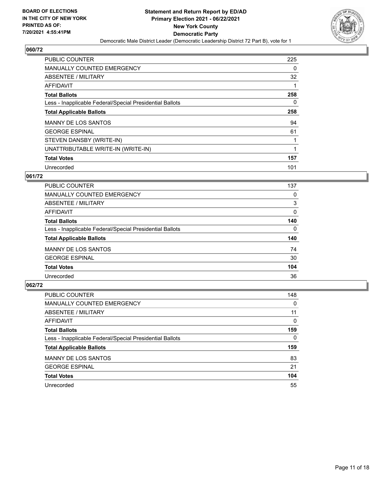

| <b>PUBLIC COUNTER</b>                                    | 225      |
|----------------------------------------------------------|----------|
| <b>MANUALLY COUNTED EMERGENCY</b>                        | $\Omega$ |
| ABSENTEE / MILITARY                                      | 32       |
| <b>AFFIDAVIT</b>                                         |          |
| <b>Total Ballots</b>                                     | 258      |
| Less - Inapplicable Federal/Special Presidential Ballots | $\Omega$ |
| <b>Total Applicable Ballots</b>                          | 258      |
| <b>MANNY DE LOS SANTOS</b>                               | 94       |
| <b>GEORGE ESPINAL</b>                                    | 61       |
| STEVEN DANSBY (WRITE-IN)                                 |          |
| UNATTRIBUTABLE WRITE-IN (WRITE-IN)                       |          |
| <b>Total Votes</b>                                       | 157      |
| Unrecorded                                               | 101      |

## **061/72**

| <b>PUBLIC COUNTER</b>                                    | 137 |
|----------------------------------------------------------|-----|
| <b>MANUALLY COUNTED EMERGENCY</b>                        | 0   |
| ABSENTEE / MILITARY                                      | 3   |
| <b>AFFIDAVIT</b>                                         | 0   |
| <b>Total Ballots</b>                                     | 140 |
| Less - Inapplicable Federal/Special Presidential Ballots | 0   |
| <b>Total Applicable Ballots</b>                          | 140 |
| <b>MANNY DE LOS SANTOS</b>                               | 74  |
| <b>GEORGE ESPINAL</b>                                    | 30  |
| <b>Total Votes</b>                                       | 104 |
| Unrecorded                                               | 36  |

| <b>PUBLIC COUNTER</b>                                    | 148      |
|----------------------------------------------------------|----------|
| <b>MANUALLY COUNTED EMERGENCY</b>                        | $\Omega$ |
| ABSENTEE / MILITARY                                      | 11       |
| AFFIDAVIT                                                | $\Omega$ |
| <b>Total Ballots</b>                                     | 159      |
| Less - Inapplicable Federal/Special Presidential Ballots | $\Omega$ |
| <b>Total Applicable Ballots</b>                          | 159      |
| <b>MANNY DE LOS SANTOS</b>                               | 83       |
| <b>GEORGE ESPINAL</b>                                    | 21       |
| <b>Total Votes</b>                                       | 104      |
| Unrecorded                                               | 55       |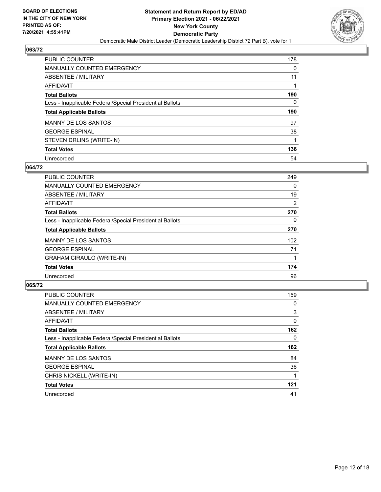

| <b>PUBLIC COUNTER</b>                                    | 178 |
|----------------------------------------------------------|-----|
| <b>MANUALLY COUNTED EMERGENCY</b>                        | 0   |
| ABSENTEE / MILITARY                                      | 11  |
| AFFIDAVIT                                                |     |
| <b>Total Ballots</b>                                     | 190 |
| Less - Inapplicable Federal/Special Presidential Ballots | 0   |
| <b>Total Applicable Ballots</b>                          | 190 |
|                                                          |     |
| <b>MANNY DE LOS SANTOS</b>                               | 97  |
| <b>GEORGE ESPINAL</b>                                    | 38  |
| STEVEN DRLINS (WRITE-IN)                                 |     |
| <b>Total Votes</b>                                       | 136 |

#### **064/72**

| <b>PUBLIC COUNTER</b>                                    | 249      |
|----------------------------------------------------------|----------|
| <b>MANUALLY COUNTED EMERGENCY</b>                        | 0        |
| ABSENTEE / MILITARY                                      | 19       |
| <b>AFFIDAVIT</b>                                         | 2        |
| <b>Total Ballots</b>                                     | 270      |
| Less - Inapplicable Federal/Special Presidential Ballots | $\Omega$ |
| <b>Total Applicable Ballots</b>                          | 270      |
| <b>MANNY DE LOS SANTOS</b>                               | 102      |
| <b>GEORGE ESPINAL</b>                                    | 71       |
| <b>GRAHAM CIRAULO (WRITE-IN)</b>                         |          |
| <b>Total Votes</b>                                       | 174      |
| Unrecorded                                               | 96       |

| <b>PUBLIC COUNTER</b>                                    | 159      |
|----------------------------------------------------------|----------|
| <b>MANUALLY COUNTED EMERGENCY</b>                        | 0        |
| ABSENTEE / MILITARY                                      | 3        |
| <b>AFFIDAVIT</b>                                         | $\Omega$ |
| <b>Total Ballots</b>                                     | 162      |
| Less - Inapplicable Federal/Special Presidential Ballots | $\Omega$ |
| <b>Total Applicable Ballots</b>                          | 162      |
|                                                          |          |
| <b>MANNY DE LOS SANTOS</b>                               | 84       |
| <b>GEORGE ESPINAL</b>                                    | 36       |
| CHRIS NICKELL (WRITE-IN)                                 |          |
| <b>Total Votes</b>                                       | 121      |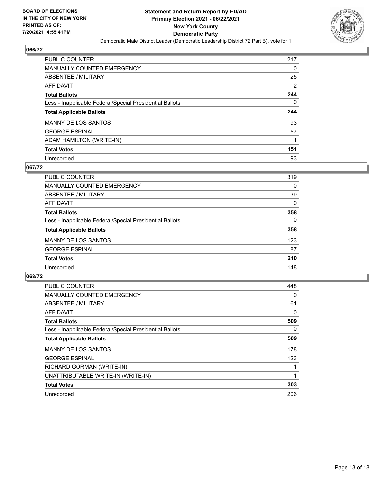

| <b>PUBLIC COUNTER</b>                                    | 217 |
|----------------------------------------------------------|-----|
| <b>MANUALLY COUNTED EMERGENCY</b>                        | 0   |
| ABSENTEE / MILITARY                                      | 25  |
| AFFIDAVIT                                                | 2   |
| <b>Total Ballots</b>                                     | 244 |
| Less - Inapplicable Federal/Special Presidential Ballots | 0   |
|                                                          |     |
| <b>Total Applicable Ballots</b>                          | 244 |
| <b>MANNY DE LOS SANTOS</b>                               | 93  |
| <b>GEORGE ESPINAL</b>                                    | 57  |
| ADAM HAMILTON (WRITE-IN)                                 |     |
| <b>Total Votes</b>                                       | 151 |

#### **067/72**

| <b>PUBLIC COUNTER</b>                                    | 319      |
|----------------------------------------------------------|----------|
| <b>MANUALLY COUNTED EMERGENCY</b>                        | $\Omega$ |
| ABSENTEE / MILITARY                                      | 39       |
| <b>AFFIDAVIT</b>                                         | $\Omega$ |
| <b>Total Ballots</b>                                     | 358      |
| Less - Inapplicable Federal/Special Presidential Ballots | $\Omega$ |
| <b>Total Applicable Ballots</b>                          | 358      |
| <b>MANNY DE LOS SANTOS</b>                               | 123      |
| <b>GEORGE ESPINAL</b>                                    | 87       |
| <b>Total Votes</b>                                       | 210      |
| Unrecorded                                               | 148      |

| <b>PUBLIC COUNTER</b>                                    | 448 |
|----------------------------------------------------------|-----|
| <b>MANUALLY COUNTED EMERGENCY</b>                        | 0   |
| ABSENTEE / MILITARY                                      | 61  |
| AFFIDAVIT                                                | 0   |
| <b>Total Ballots</b>                                     | 509 |
| Less - Inapplicable Federal/Special Presidential Ballots | 0   |
| <b>Total Applicable Ballots</b>                          | 509 |
| <b>MANNY DE LOS SANTOS</b>                               | 178 |
| <b>GEORGE ESPINAL</b>                                    | 123 |
| RICHARD GORMAN (WRITE-IN)                                |     |
| UNATTRIBUTABLE WRITE-IN (WRITE-IN)                       | 1   |
| <b>Total Votes</b>                                       | 303 |
| Unrecorded                                               | 206 |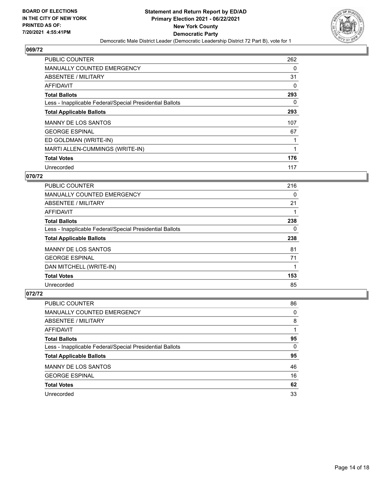

| <b>PUBLIC COUNTER</b>                                    | 262 |
|----------------------------------------------------------|-----|
| <b>MANUALLY COUNTED EMERGENCY</b>                        | 0   |
| ABSENTEE / MILITARY                                      | 31  |
| <b>AFFIDAVIT</b>                                         | 0   |
| <b>Total Ballots</b>                                     | 293 |
| Less - Inapplicable Federal/Special Presidential Ballots | 0   |
| <b>Total Applicable Ballots</b>                          | 293 |
| <b>MANNY DE LOS SANTOS</b>                               | 107 |
| <b>GEORGE ESPINAL</b>                                    | 67  |
| ED GOLDMAN (WRITE-IN)                                    |     |
| MARTI ALLEN-CUMMINGS (WRITE-IN)                          | 1   |
| <b>Total Votes</b>                                       | 176 |
| Unrecorded                                               | 117 |

## **070/72**

| <b>PUBLIC COUNTER</b>                                    | 216 |
|----------------------------------------------------------|-----|
| MANUALLY COUNTED EMERGENCY                               | 0   |
| ABSENTEE / MILITARY                                      | 21  |
| <b>AFFIDAVIT</b>                                         |     |
| <b>Total Ballots</b>                                     | 238 |
| Less - Inapplicable Federal/Special Presidential Ballots | 0   |
| <b>Total Applicable Ballots</b>                          | 238 |
| <b>MANNY DE LOS SANTOS</b>                               | 81  |
| <b>GEORGE ESPINAL</b>                                    | 71  |
| DAN MITCHELL (WRITE-IN)                                  |     |
| <b>Total Votes</b>                                       | 153 |
| Unrecorded                                               | 85  |

| PUBLIC COUNTER                                           | 86       |
|----------------------------------------------------------|----------|
| <b>MANUALLY COUNTED EMERGENCY</b>                        | 0        |
| ABSENTEE / MILITARY                                      | 8        |
| AFFIDAVIT                                                |          |
| <b>Total Ballots</b>                                     | 95       |
| Less - Inapplicable Federal/Special Presidential Ballots | $\Omega$ |
| <b>Total Applicable Ballots</b>                          | 95       |
| <b>MANNY DE LOS SANTOS</b>                               | 46       |
| <b>GEORGE ESPINAL</b>                                    | 16       |
| <b>Total Votes</b>                                       | 62       |
| Unrecorded                                               | 33       |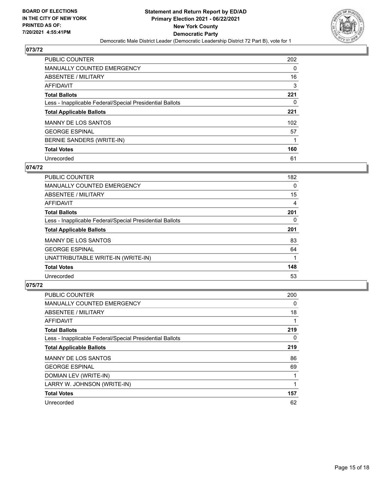

| <b>PUBLIC COUNTER</b>                                    | 202 |
|----------------------------------------------------------|-----|
| <b>MANUALLY COUNTED EMERGENCY</b>                        | 0   |
| ABSENTEE / MILITARY                                      | 16  |
| AFFIDAVIT                                                | 3   |
| <b>Total Ballots</b>                                     | 221 |
| Less - Inapplicable Federal/Special Presidential Ballots | 0   |
| <b>Total Applicable Ballots</b>                          | 221 |
| <b>MANNY DE LOS SANTOS</b>                               | 102 |
| <b>GEORGE ESPINAL</b>                                    | 57  |
| BERNIE SANDERS (WRITE-IN)                                |     |
| <b>Total Votes</b>                                       | 160 |
| Unrecorded                                               | 61  |

#### **074/72**

| <b>PUBLIC COUNTER</b>                                    | 182 |
|----------------------------------------------------------|-----|
| <b>MANUALLY COUNTED EMERGENCY</b>                        | 0   |
| ABSENTEE / MILITARY                                      | 15  |
| <b>AFFIDAVIT</b>                                         | 4   |
| <b>Total Ballots</b>                                     | 201 |
| Less - Inapplicable Federal/Special Presidential Ballots | 0   |
| <b>Total Applicable Ballots</b>                          | 201 |
| <b>MANNY DE LOS SANTOS</b>                               | 83  |
| <b>GEORGE ESPINAL</b>                                    | 64  |
| UNATTRIBUTABLE WRITE-IN (WRITE-IN)                       |     |
| <b>Total Votes</b>                                       | 148 |
| Unrecorded                                               | 53  |

| <b>PUBLIC COUNTER</b>                                    | 200 |
|----------------------------------------------------------|-----|
| MANUALLY COUNTED EMERGENCY                               | 0   |
| ABSENTEE / MILITARY                                      | 18  |
| AFFIDAVIT                                                | 1   |
| <b>Total Ballots</b>                                     | 219 |
| Less - Inapplicable Federal/Special Presidential Ballots | 0   |
| <b>Total Applicable Ballots</b>                          | 219 |
| <b>MANNY DE LOS SANTOS</b>                               | 86  |
| <b>GEORGE ESPINAL</b>                                    | 69  |
| DOMIAN LEV (WRITE-IN)                                    |     |
| LARRY W. JOHNSON (WRITE-IN)                              |     |
| <b>Total Votes</b>                                       | 157 |
| Unrecorded                                               | 62  |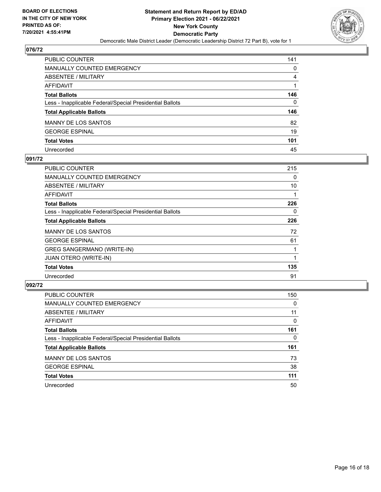

| PUBLIC COUNTER                                           | 141 |
|----------------------------------------------------------|-----|
| <b>MANUALLY COUNTED EMERGENCY</b>                        | 0   |
| ABSENTEE / MILITARY                                      | 4   |
| AFFIDAVIT                                                |     |
| <b>Total Ballots</b>                                     | 146 |
| Less - Inapplicable Federal/Special Presidential Ballots | 0   |
| <b>Total Applicable Ballots</b>                          | 146 |
| MANNY DE LOS SANTOS                                      | 82  |
| <b>GEORGE ESPINAL</b>                                    | 19  |
| <b>Total Votes</b>                                       | 101 |
| Unrecorded                                               | 45  |

#### **091/72**

| PUBLIC COUNTER                                           | 215 |
|----------------------------------------------------------|-----|
| <b>MANUALLY COUNTED EMERGENCY</b>                        | 0   |
| ABSENTEE / MILITARY                                      | 10  |
| AFFIDAVIT                                                |     |
| <b>Total Ballots</b>                                     | 226 |
| Less - Inapplicable Federal/Special Presidential Ballots | 0   |
| <b>Total Applicable Ballots</b>                          | 226 |
| <b>MANNY DE LOS SANTOS</b>                               | 72  |
| <b>GEORGE ESPINAL</b>                                    | 61  |
| <b>GREG SANGERMANO (WRITE-IN)</b>                        |     |
| <b>JUAN OTERO (WRITE-IN)</b>                             |     |
| <b>Total Votes</b>                                       | 135 |
| Unrecorded                                               | 91  |

| <b>PUBLIC COUNTER</b>                                    | 150      |
|----------------------------------------------------------|----------|
| <b>MANUALLY COUNTED EMERGENCY</b>                        | $\Omega$ |
| ABSENTEE / MILITARY                                      | 11       |
| AFFIDAVIT                                                | $\Omega$ |
| <b>Total Ballots</b>                                     | 161      |
| Less - Inapplicable Federal/Special Presidential Ballots | 0        |
| <b>Total Applicable Ballots</b>                          | 161      |
| <b>MANNY DE LOS SANTOS</b>                               | 73       |
| <b>GEORGE ESPINAL</b>                                    | 38       |
| <b>Total Votes</b>                                       | 111      |
| Unrecorded                                               | 50       |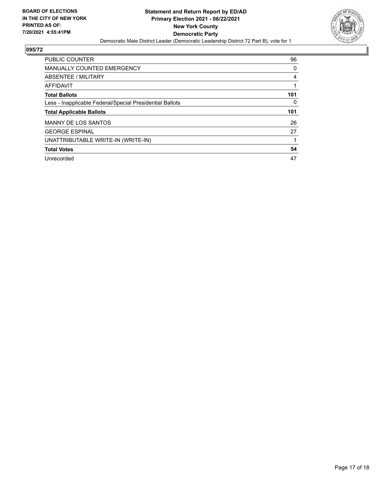

| <b>PUBLIC COUNTER</b>                                    | 96  |
|----------------------------------------------------------|-----|
| MANUALLY COUNTED EMERGENCY                               | 0   |
| ABSENTEE / MILITARY                                      | 4   |
| AFFIDAVIT                                                |     |
| <b>Total Ballots</b>                                     | 101 |
| Less - Inapplicable Federal/Special Presidential Ballots | 0   |
| <b>Total Applicable Ballots</b>                          | 101 |
| <b>MANNY DE LOS SANTOS</b>                               | 26  |
| <b>GEORGE ESPINAL</b>                                    | 27  |
| UNATTRIBUTABLE WRITE-IN (WRITE-IN)                       |     |
| <b>Total Votes</b>                                       | 54  |
|                                                          |     |